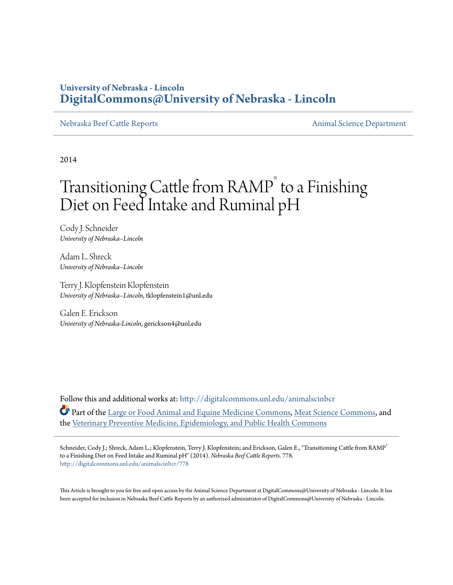### **University of Nebraska - Lincoln [DigitalCommons@University of Nebraska - Lincoln](http://digitalcommons.unl.edu?utm_source=digitalcommons.unl.edu%2Fanimalscinbcr%2F778&utm_medium=PDF&utm_campaign=PDFCoverPages)**

[Nebraska Beef Cattle Reports](http://digitalcommons.unl.edu/animalscinbcr?utm_source=digitalcommons.unl.edu%2Fanimalscinbcr%2F778&utm_medium=PDF&utm_campaign=PDFCoverPages) **[Animal Science Department](http://digitalcommons.unl.edu/ag_animal?utm_source=digitalcommons.unl.edu%2Fanimalscinbcr%2F778&utm_medium=PDF&utm_campaign=PDFCoverPages)** 

2014

# Transitioning Cattle from RAMP<sup>®</sup> to a Finishing Diet on Feed Intake and Ruminal pH

Cody J. Schneider *University of Nebraska–Lincoln*

Adam L. Shreck *University of Nebraska–Lincoln*

Terry J. Klopfenstein Klopfenstein *University of Nebraska–Lincoln*, tklopfenstein1@unl.edu

Galen E. Erickson *University of Nebraska-Lincoln*, gerickson4@unl.edu

Follow this and additional works at: [http://digitalcommons.unl.edu/animalscinbcr](http://digitalcommons.unl.edu/animalscinbcr?utm_source=digitalcommons.unl.edu%2Fanimalscinbcr%2F778&utm_medium=PDF&utm_campaign=PDFCoverPages) Part of the [Large or Food Animal and Equine Medicine Commons](http://network.bepress.com/hgg/discipline/766?utm_source=digitalcommons.unl.edu%2Fanimalscinbcr%2F778&utm_medium=PDF&utm_campaign=PDFCoverPages), [Meat Science Commons,](http://network.bepress.com/hgg/discipline/1301?utm_source=digitalcommons.unl.edu%2Fanimalscinbcr%2F778&utm_medium=PDF&utm_campaign=PDFCoverPages) and the [Veterinary Preventive Medicine, Epidemiology, and Public Health Commons](http://network.bepress.com/hgg/discipline/769?utm_source=digitalcommons.unl.edu%2Fanimalscinbcr%2F778&utm_medium=PDF&utm_campaign=PDFCoverPages)

Schneider, Cody J.; Shreck, Adam L.; Klopfenstein, Terry J. Klopfenstein; and Erickson, Galen E., "Transitioning Cattle from RAMP® to a Finishing Diet on Feed Intake and Ruminal pH" (2014). *Nebraska Beef Cattle Reports*. 778. [http://digitalcommons.unl.edu/animalscinbcr/778](http://digitalcommons.unl.edu/animalscinbcr/778?utm_source=digitalcommons.unl.edu%2Fanimalscinbcr%2F778&utm_medium=PDF&utm_campaign=PDFCoverPages)

This Article is brought to you for free and open access by the Animal Science Department at DigitalCommons@University of Nebraska - Lincoln. It has been accepted for inclusion in Nebraska Beef Cattle Reports by an authorized administrator of DigitalCommons@University of Nebraska - Lincoln.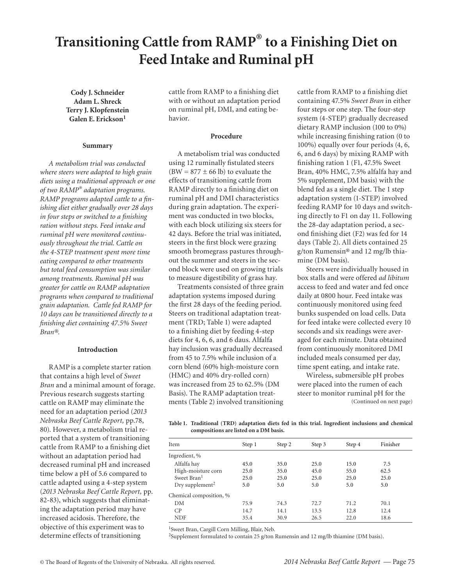## **Transitioning Cattle from RAMP® to a Finishing Diet on Feed Intake and Ruminal pH**

**Cody J. Schneider Adam L. Shreck Terry J. Klopfenstein Galen E. Erickson<sup>1</sup>**

#### **Summary**

*A metabolism trial was conducted where steers were adapted to high grain diets using a traditional approach or one of two RAMP® adaptation programs. RAMP programs adapted cattle to a finishing diet either gradually over 28 days in four steps or switched to a finishing ration without steps. Feed intake and ruminal pH were monitored continuously throughout the trial. Cattle on the 4-STEP treatment spent more time eating compared to other treatments but total feed consumption was similar among treatments. Ruminal pH was greater for cattle on RAMP adaptation programs when compared to traditional grain adaptation. Cattle fed RAMP for 10 days can be transitioned directly to a finishing diet containing 47.5% Sweet Bran®.* 

#### **Introduction**

RAMP is a complete starter ration that contains a high level of *Sweet Bran* and a minimal amount of forage. Previous research suggests starting cattle on RAMP may eliminate the need for an adaptation period (*2013 Nebraska Beef Cattle Report,* pp.78, 80). However, a metabolism trial reported that a system of transitioning cattle from RAMP to a finishing diet without an adaptation period had decreased ruminal pH and increased time below a pH of 5.6 compared to cattle adapted using a 4-step system (*2013 Nebraska Beef Cattle Report,* pp. 82-83), which suggests that eliminating the adaptation period may have increased acidosis. Therefore, the objective of this experiment was to determine effects of transitioning

cattle from RAMP to a finishing diet with or without an adaptation period on ruminal pH, DMI, and eating behavior.

#### **Procedure**

A metabolism trial was conducted using 12 ruminally fistulated steers  $(BW = 877 \pm 66 \text{ lb})$  to evaluate the effects of transitioning cattle from RAMP directly to a finishing diet on ruminal pH and DMI characteristics during grain adaptation. The experiment was conducted in two blocks, with each block utilizing six steers for 42 days. Before the trial was initiated, steers in the first block were grazing smooth bromegrass pastures throughout the summer and steers in the second block were used on growing trials to measure digestibility of grass hay.

Treatments consisted of three grain adaptation systems imposed during the first 28 days of the feeding period. Steers on traditional adaptation treatment (TRD; Table 1) were adapted to a finishing diet by feeding 4-step diets for 4, 6, 6, and 6 daus. Alfalfa hay inclusion was gradually decreased from 45 to 7.5% while inclusion of a corn blend (60% high-moisture corn (HMC) and 40% dry-rolled corn) was increased from 25 to 62.5% (DM Basis). The RAMP adaptation treatments (Table 2) involved transitioning cattle from RAMP to a finishing diet containing 47.5% *Sweet Bran* in either four steps or one step. The four-step system (4-STEP) gradually decreased dietary RAMP inclusion (100 to 0%) while increasing finishing ration (0 to 100%) equally over four periods (4, 6, 6, and 6 days) by mixing RAMP with finishing ration 1 (F1, 47.5% Sweet Bran, 40% HMC, 7.5% alfalfa hay and 5% supplement, DM basis) with the blend fed as a single diet. The 1 step adaptation system (1-STEP) involved feeding RAMP for 10 days and switching directly to F1 on day 11. Following the 28-day adaptation period, a second finishing diet (F2) was fed for 14 days (Table 2). All diets contained 25 g/ton Rumensin® and 12 mg/lb thiamine (DM basis).

Steers were individually housed in box stalls and were offered *ad libitum*  access to feed and water and fed once daily at 0800 hour. Feed intake was continuously monitored using feed bunks suspended on load cells. Data for feed intake were collected every 10 seconds and six readings were averaged for each minute. Data obtained from continuously monitored DMI included meals consumed per day, time spent eating, and intake rate.

Wireless, submersible pH probes were placed into the rumen of each steer to monitor ruminal pH for the (Continued on next page)

**Table 1. Traditional (TRD) adaptation diets fed in this trial. Ingredient inclusions and chemical compositions are listed on a DM basis.**

| Item                        | Step 1 | Step 2 | Step 3 | Step 4 | Finisher |  |
|-----------------------------|--------|--------|--------|--------|----------|--|
| Ingredient, %               |        |        |        |        |          |  |
| Alfalfa hay                 | 45.0   | 35.0   | 25.0   | 15.0   | 7.5      |  |
| High-moisture corn          | 25.0   | 35.0   | 45.0   | 55.0   | 62.5     |  |
| Sweet Bran <sup>1</sup>     | 25.0   | 25.0   | 25.0   | 25.0   | 25.0     |  |
| Dry supplement <sup>2</sup> | 5.0    | 5.0    | 5.0    | 5.0    | 5.0      |  |
| Chemical composition, %     |        |        |        |        |          |  |
| DM                          | 75.9   | 74.3   | 72.7   | 71.2   | 70.1     |  |
| CP                          | 14.7   | 14.1   | 13.5   | 12.8   | 12.4     |  |
| <b>NDF</b>                  | 35.4   | 30.9   | 26.5   | 22.0   | 18.6     |  |

1Sweet Bran, Cargill Corn Milling, Blair, Neb.

2Supplement formulated to contain 25 g/ton Rumensin and 12 mg/lb thiamine (DM basis).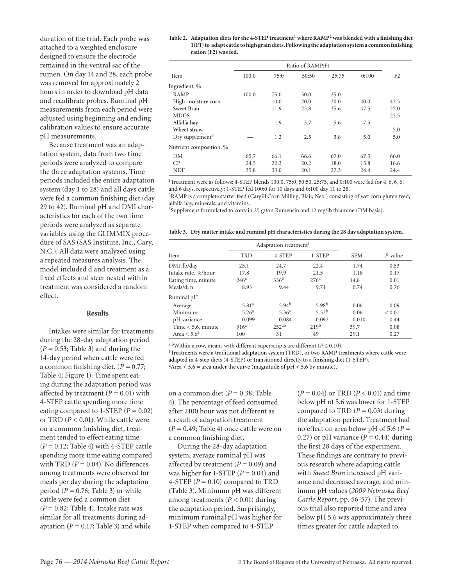duration of the trial. Each probe was attached to a weighted enclosure designed to ensure the electrode remained in the ventral sac of the rumen. On day 14 and 28, each probe was removed for approximately 2 hours in order to download pH data and recalibrate probes. Ruminal pH measurements from each period were adjusted using beginning and ending calibration values to ensure accurate pH measurements.

Because treatment was an adaptation system, data from two time periods were analyzed to compare the three adaptation systems. Time periods included the entire adaptation system (day 1 to 28) and all days cattle were fed a common finishing diet (day 29 to 42). Ruminal pH and DMI characteristics for each of the two time periods were analyzed as separate variables using the GLIMMIX procedure of SAS (SAS Institute, Inc., Cary, N.C.). All data were analyzed using a repeated measures analysis. The model included d and treatment as a fixed effects and steer nested within treatment was considered a random effect.

#### **Results**

Intakes were similar for treatments during the 28-day adaptation period  $(P = 0.53;$  Table 3) and during the 14-day period when cattle were fed a common finishing diet.  $(P = 0.77;$ Table 4; Figure 1). Time spent eating during the adaptation period was affected by treatment  $(P = 0.01)$  with 4-STEP cattle spending more time eating compared to 1-STEP  $(P = 0.02)$ or TRD (*P* < 0.01). While cattle were on a common finishing diet, treatment tended to effect eating time (*P =* 0.12; Table 4) with 4-STEP cattle spending more time eating compared with TRD  $(P = 0.04)$ . No differences among treatments were observed for meals per day during the adaptation period ( $P = 0.76$ ; Table 3) or while cattle were fed a common diet (*P* = 0.82; Table 4). Intake rate was similar for all treatments during adaptation  $(P = 0.17;$  Table 3) and while

#### **Table 2. Adaptation diets for the 4-STEP treatment1 where RAMP2 was blended with a finishing diet 1(F1) to adapt cattle to high grain diets. Following the adaptation system a common finishing ration (F2) was fed.**

|                             | Ratio of RAMP:F1 |      |       |       |       |                |
|-----------------------------|------------------|------|-------|-------|-------|----------------|
| Item                        | 100:0            | 75:0 | 50:50 | 25:75 | 0:100 | F <sub>2</sub> |
| Ingredient, %               |                  |      |       |       |       |                |
| RAMP                        | 100.0            | 75.0 | 50.0  | 25.0  |       |                |
| High-moisture corn          |                  | 10.0 | 20.0  | 30.0  | 40.0  | 42.5           |
| Sweet Bran                  |                  | 11.9 | 23.8  | 35.6  | 47.5  | 25.0           |
| <b>MDGS</b>                 |                  |      |       |       |       | 22.5           |
| Alfalfa hay                 |                  | 1.9  | 3.7   | 5.6   | 7.5   |                |
| Wheat straw                 |                  |      |       |       |       | 5.0            |
| Dry supplement <sup>3</sup> |                  | 1.2  | 2.5   | 3.8   | 5.0   | 5.0            |
| Nutrient composition, %     |                  |      |       |       |       |                |
| DM                          | 65.7             | 66.1 | 66.6  | 67.0  | 67.5  | 66.0           |
| CP                          | 24.5             | 22.3 | 20.2  | 18.0  | 15.8  | 16.6           |
| <b>NDF</b>                  | 35.8             | 33.0 | 20.1  | 27.3  | 24.4  | 24.4           |

<sup>1</sup>Treatment were as follows: 4-STEP blends 100:0, 75:0, 50:50, 25:75, and 0:100 were fed for 4, 6, 6, 6, and 6 days, respectively; 1-STEP fed 100:0 for 10 days and 0:100 day 11 to 28.

2RAMP is a complete starter feed (Cargill Corn Milling, Blair, Neb.) consisting of wet corn gluten feed, alfalfa hay, minerals, and vitamins.

<sup>3</sup>Supplement formulated to contain 25 g/ton Rumensin and 12 mg/lb thiamine (DM basis).

**Table 3. Dry matter intake and ruminal pH characteristics during the 28 day adaptation system.** 

|                      |                   | Adaptation treatment <sup>1</sup> |                   |            |            |
|----------------------|-------------------|-----------------------------------|-------------------|------------|------------|
| Item                 | <b>TRD</b>        | 4-STEP                            | 1-STEP            | <b>SEM</b> | $P$ -value |
| DMI, lb/day          | 25.1              | 24.7                              | 22.4              | 1.74       | 0.53       |
| Intake rate, %/hour  | 17.8              | 19.9                              | 21.5              | 1.18       | 0.17       |
| Eating time, minute  | 246 <sup>a</sup>  | 336 <sup>b</sup>                  | 276 <sup>a</sup>  | 14.8       | 0.01       |
| Meals/d, n           | 8.93              | 9.44                              | 9.71              | 0.74       | 0.76       |
| Ruminal pH           |                   |                                   |                   |            |            |
| Average              | 5.81 <sup>a</sup> | 5.94 <sup>b</sup>                 | 5.98 <sup>b</sup> | 0.06       | 0.09       |
| Minimum              | 5.26 <sup>a</sup> | 5.36 <sup>a</sup>                 | 5.52 <sup>b</sup> | 0.06       | ${}< 0.01$ |
| pH variance          | 0.099             | 0.084                             | 0.092             | 0.010      | 0.44       |
| Time $<$ 5.6, minute | 316 <sup>a</sup>  | 252 <sup>ab</sup>                 | 219 <sup>b</sup>  | 39.7       | 0.08       |
| Area $< 5.62$        | 100               | 31                                | 49                | 29.1       | 0.27       |

a,bWithin a row, means with different superscripts are different ( $P \le 0.10$ ).

<sup>1</sup>Treatments were a traditional adaptation system (TRD), or two RAMP treatments where cattle were adapted in 4-step diets (4-STEP) or transitioned directly to a finishing diet (1-STEP).

 $2$ Area  $<$  5.6 = area under the curve (magnitude of pH  $<$  5.6 by minute).

on a common diet (*P* = 0.38; Table 4). The percentage of feed consumed after 2100 hour was not different as a result of adaptation treatment  $(P = 0.49;$  Table 4) once cattle were on a common finishing diet.

During the 28-day adaptation system, average ruminal pH was affected by treatment (*P =* 0.09) and was higher for 1-STEP  $(P = 0.04)$  and 4-STEP  $(P = 0.10)$  compared to TRD (Table 3). Minimum pH was different among treatments (*P <* 0.01) during the adaptation period. Surprisingly, minimum ruminal pH was higher for 1-STEP when compared to 4-STEP

(*P* = 0.04) or TRD (*P* < 0.01) and time below pH of 5.6 was lower for 1-STEP compared to TRD  $(P = 0.03)$  during the adaptation period. Treatment had no effect on area below pH of 5.6 (*P* = 0.27) or pH variance  $(P = 0.44)$  during the first 28 days of the experiment. These findings are contrary to previous research where adapting cattle with *Sweet Bran* increased pH variance and decreased average, and minimum pH values (*2009 Nebraska Beef Cattle Report*, pp. 56-57). The previous trial also reported time and area below pH 5.6 was approximately three times greater for cattle adapted to